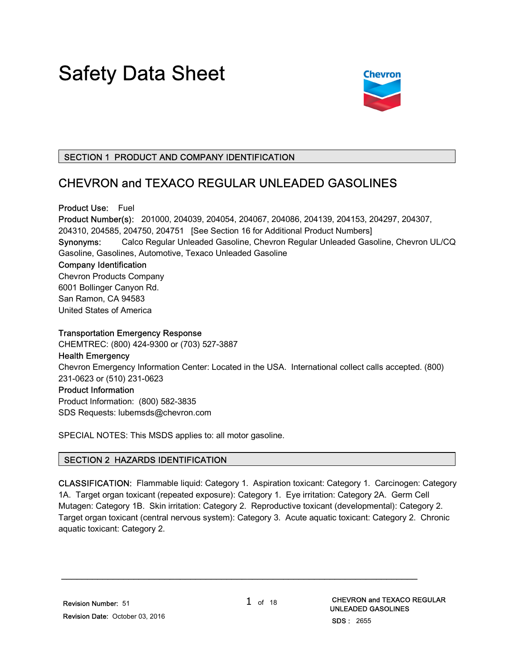# Safety Data Sheet



### SECTION 1 PRODUCT AND COMPANY IDENTIFICATION

## CHEVRON and TEXACO REGULAR UNLEADED GASOLINES

Product Use: Fuel Product Number(s): 201000, 204039, 204054, 204067, 204086, 204139, 204153, 204297, 204307, 204310, 204585, 204750, 204751 [See Section 16 for Additional Product Numbers] Synonyms: Calco Regular Unleaded Gasoline, Chevron Regular Unleaded Gasoline, Chevron UL/CQ Gasoline, Gasolines, Automotive, Texaco Unleaded Gasoline Company Identification Chevron Products Company 6001 Bollinger Canyon Rd. San Ramon, CA 94583 United States of America Transportation Emergency Response

CHEMTREC: (800) 424-9300 or (703) 527-3887 Health Emergency Chevron Emergency Information Center: Located in the USA. International collect calls accepted. (800) 231-0623 or (510) 231-0623 Product Information Product Information: (800) 582-3835

SDS Requests: lubemsds@chevron.com

SPECIAL NOTES: This MSDS applies to: all motor gasoline.

#### SECTION 2 HAZARDS IDENTIFICATION

CLASSIFICATION: Flammable liquid: Category 1. Aspiration toxicant: Category 1. Carcinogen: Category 1A. Target organ toxicant (repeated exposure): Category 1. Eye irritation: Category 2A. Germ Cell Mutagen: Category 1B. Skin irritation: Category 2. Reproductive toxicant (developmental): Category 2. Target organ toxicant (central nervous system): Category 3. Acute aquatic toxicant: Category 2. Chronic aquatic toxicant: Category 2.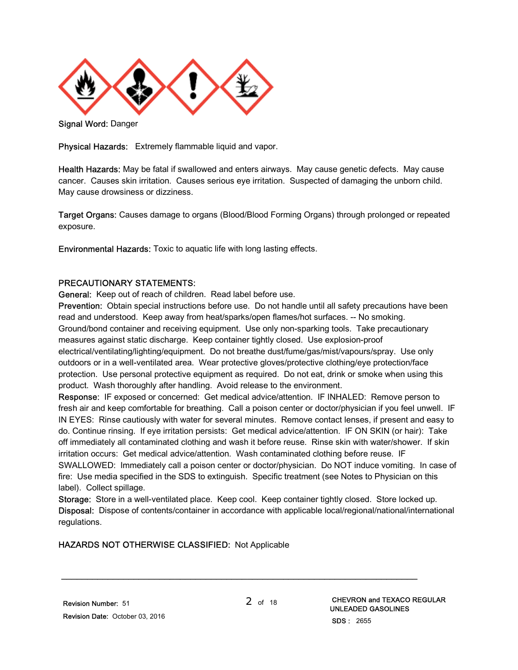

Signal Word: Danger

Physical Hazards: Extremely flammable liquid and vapor.

Health Hazards: May be fatal if swallowed and enters airways. May cause genetic defects. May cause cancer. Causes skin irritation. Causes serious eye irritation. Suspected of damaging the unborn child. May cause drowsiness or dizziness.

Target Organs: Causes damage to organs (Blood/Blood Forming Organs) through prolonged or repeated exposure.

Environmental Hazards: Toxic to aquatic life with long lasting effects.

#### PRECAUTIONARY STATEMENTS:

General: Keep out of reach of children. Read label before use.

Prevention: Obtain special instructions before use. Do not handle until all safety precautions have been read and understood. Keep away from heat/sparks/open flames/hot surfaces. -- No smoking. Ground/bond container and receiving equipment. Use only non-sparking tools. Take precautionary measures against static discharge. Keep container tightly closed. Use explosion-proof electrical/ventilating/lighting/equipment. Do not breathe dust/fume/gas/mist/vapours/spray. Use only outdoors or in a well-ventilated area. Wear protective gloves/protective clothing/eye protection/face protection. Use personal protective equipment as required. Do not eat, drink or smoke when using this product. Wash thoroughly after handling. Avoid release to the environment.

Response: IF exposed or concerned: Get medical advice/attention. IF INHALED: Remove person to fresh air and keep comfortable for breathing. Call a poison center or doctor/physician if you feel unwell. IF IN EYES: Rinse cautiously with water for several minutes. Remove contact lenses, if present and easy to do. Continue rinsing. If eye irritation persists: Get medical advice/attention. IF ON SKIN (or hair): Take off immediately all contaminated clothing and wash it before reuse. Rinse skin with water/shower. If skin irritation occurs: Get medical advice/attention. Wash contaminated clothing before reuse. IF SWALLOWED: Immediately call a poison center or doctor/physician. Do NOT induce vomiting. In case of fire: Use media specified in the SDS to extinguish. Specific treatment (see Notes to Physician on this label). Collect spillage.

Storage: Store in a well-ventilated place. Keep cool. Keep container tightly closed. Store locked up. Disposal: Dispose of contents/container in accordance with applicable local/regional/national/international regulations.

#### HAZARDS NOT OTHERWISE CLASSIFIED: Not Applicable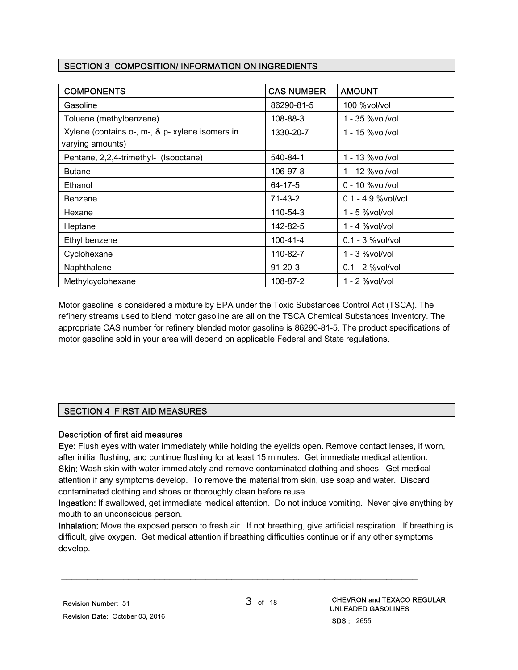#### SECTION 3 COMPOSITION/ INFORMATION ON INGREDIENTS

| <b>COMPONENTS</b>                                                   | <b>CAS NUMBER</b> | <b>AMOUNT</b>       |
|---------------------------------------------------------------------|-------------------|---------------------|
| Gasoline                                                            | 86290-81-5        | 100 %vol/vol        |
| Toluene (methylbenzene)                                             | 108-88-3          | 1 - 35 %vol/vol     |
| Xylene (contains o-, m-, & p- xylene isomers in<br>varying amounts) | 1330-20-7         | 1 - 15 % vol/ vol   |
| Pentane, 2,2,4-trimethyl- (Isooctane)                               | 540-84-1          | 1 - 13 % vol/vol    |
| <b>Butane</b>                                                       | 106-97-8          | 1 - 12 %vol/vol     |
| Ethanol                                                             | 64-17-5           | $0 - 10$ %vol/vol   |
| Benzene                                                             | 71-43-2           | 0.1 - 4.9 % vol/vol |
| Hexane                                                              | 110-54-3          | 1 - 5 %vol/vol      |
| Heptane                                                             | 142-82-5          | 1 - 4 %vol/vol      |
| Ethyl benzene                                                       | $100 - 41 - 4$    | $0.1 - 3$ %vol/vol  |
| Cyclohexane                                                         | 110-82-7          | $1 - 3$ %vol/vol    |
| Naphthalene                                                         | $91 - 20 - 3$     | $0.1 - 2$ %vol/vol  |
| Methylcyclohexane                                                   | 108-87-2          | 1 - 2 %vol/vol      |

Motor gasoline is considered a mixture by EPA under the Toxic Substances Control Act (TSCA). The refinery streams used to blend motor gasoline are all on the TSCA Chemical Substances Inventory. The appropriate CAS number for refinery blended motor gasoline is 86290-81-5. The product specifications of motor gasoline sold in your area will depend on applicable Federal and State regulations.

#### SECTION 4 FIRST AID MEASURES

#### Description of first aid measures

Eye: Flush eyes with water immediately while holding the eyelids open. Remove contact lenses, if worn, after initial flushing, and continue flushing for at least 15 minutes. Get immediate medical attention. Skin: Wash skin with water immediately and remove contaminated clothing and shoes. Get medical attention if any symptoms develop. To remove the material from skin, use soap and water. Discard contaminated clothing and shoes or thoroughly clean before reuse.

Ingestion: If swallowed, get immediate medical attention. Do not induce vomiting. Never give anything by mouth to an unconscious person.

Inhalation: Move the exposed person to fresh air. If not breathing, give artificial respiration. If breathing is difficult, give oxygen. Get medical attention if breathing difficulties continue or if any other symptoms develop.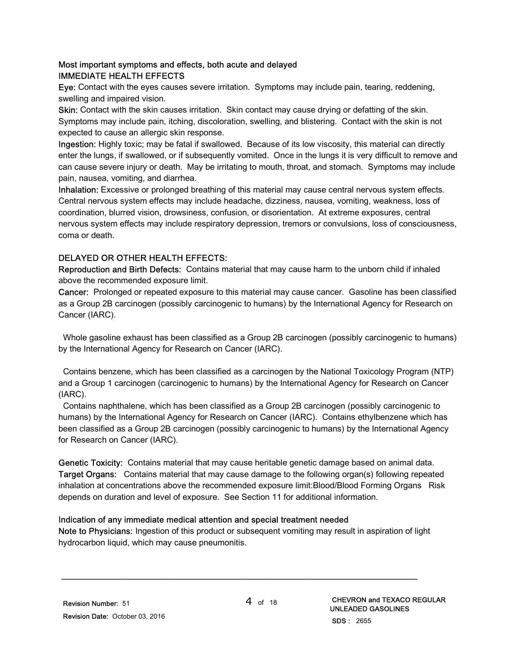#### Most important symptoms and effects, both acute and delayed IMMEDIATE HEALTH EFFECTS

Eye: Contact with the eyes causes severe irritation. Symptoms may include pain, tearing, reddening, swelling and impaired vision.

Skin: Contact with the skin causes irritation. Skin contact may cause drying or defatting of the skin. Symptoms may include pain, itching, discoloration, swelling, and blistering. Contact with the skin is not expected to cause an allergic skin response.

Ingestion: Highly toxic; may be fatal if swallowed. Because of its low viscosity, this material can directly enter the lungs, if swallowed, or if subsequently vomited. Once in the lungs it is very difficult to remove and can cause severe injury or death. May be irritating to mouth, throat, and stomach. Symptoms may include pain, nausea, vomiting, and diarrhea.

Inhalation: Excessive or prolonged breathing of this material may cause central nervous system effects. Central nervous system effects may include headache, dizziness, nausea, vomiting, weakness, loss of coordination, blurred vision, drowsiness, confusion, or disorientation. At extreme exposures, central nervous system effects may include respiratory depression, tremors or convulsions, loss of consciousness, coma or death.

#### DELAYED OR OTHER HEALTH EFFECTS:

Reproduction and Birth Defects: Contains material that may cause harm to the unborn child if inhaled above the recommended exposure limit.

Cancer: Prolonged or repeated exposure to this material may cause cancer. Gasoline has been classified as a Group 2B carcinogen (possibly carcinogenic to humans) by the International Agency for Research on Cancer (IARC).

 Whole gasoline exhaust has been classified as a Group 2B carcinogen (possibly carcinogenic to humans) by the International Agency for Research on Cancer (IARC).

 Contains benzene, which has been classified as a carcinogen by the National Toxicology Program (NTP) and a Group 1 carcinogen (carcinogenic to humans) by the International Agency for Research on Cancer (IARC).

 Contains naphthalene, which has been classified as a Group 2B carcinogen (possibly carcinogenic to humans) by the International Agency for Research on Cancer (IARC). Contains ethylbenzene which has been classified as a Group 2B carcinogen (possibly carcinogenic to humans) by the International Agency for Research on Cancer (IARC).

Genetic Toxicity: Contains material that may cause heritable genetic damage based on animal data. Target Organs: Contains material that may cause damage to the following organ(s) following repeated inhalation at concentrations above the recommended exposure limit:Blood/Blood Forming Organs Risk depends on duration and level of exposure. See Section 11 for additional information.

#### Indication of any immediate medical attention and special treatment needed

Note to Physicians: Ingestion of this product or subsequent vomiting may result in aspiration of light hydrocarbon liquid, which may cause pneumonitis.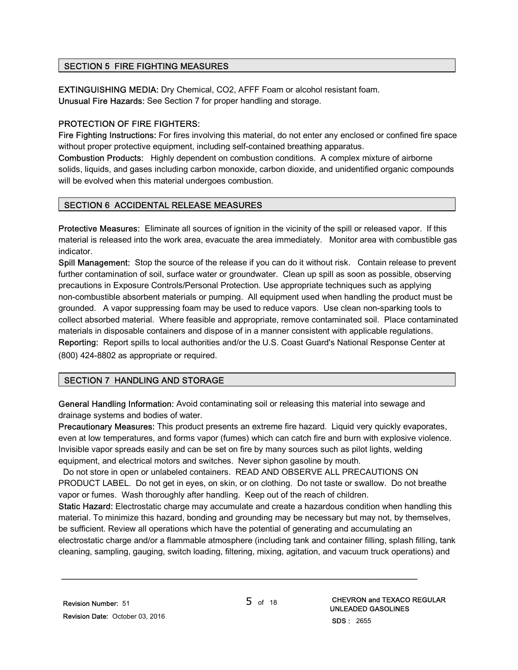#### SECTION 5 FIRE FIGHTING MEASURES

EXTINGUISHING MEDIA: Dry Chemical, CO2, AFFF Foam or alcohol resistant foam. Unusual Fire Hazards: See Section 7 for proper handling and storage.

#### PROTECTION OF FIRE FIGHTERS:

Fire Fighting Instructions: For fires involving this material, do not enter any enclosed or confined fire space without proper protective equipment, including self-contained breathing apparatus.

Combustion Products: Highly dependent on combustion conditions. A complex mixture of airborne solids, liquids, and gases including carbon monoxide, carbon dioxide, and unidentified organic compounds will be evolved when this material undergoes combustion.

#### SECTION 6 ACCIDENTAL RELEASE MEASURES

Protective Measures: Eliminate all sources of ignition in the vicinity of the spill or released vapor. If this material is released into the work area, evacuate the area immediately. Monitor area with combustible gas indicator.

Spill Management: Stop the source of the release if you can do it without risk. Contain release to prevent further contamination of soil, surface water or groundwater. Clean up spill as soon as possible, observing precautions in Exposure Controls/Personal Protection. Use appropriate techniques such as applying non-combustible absorbent materials or pumping. All equipment used when handling the product must be grounded. A vapor suppressing foam may be used to reduce vapors. Use clean non-sparking tools to collect absorbed material. Where feasible and appropriate, remove contaminated soil. Place contaminated materials in disposable containers and dispose of in a manner consistent with applicable regulations. Reporting: Report spills to local authorities and/or the U.S. Coast Guard's National Response Center at (800) 424-8802 as appropriate or required.

#### SECTION 7 HANDLING AND STORAGE

General Handling Information: Avoid contaminating soil or releasing this material into sewage and drainage systems and bodies of water.

Precautionary Measures: This product presents an extreme fire hazard. Liquid very quickly evaporates, even at low temperatures, and forms vapor (fumes) which can catch fire and burn with explosive violence. Invisible vapor spreads easily and can be set on fire by many sources such as pilot lights, welding equipment, and electrical motors and switches. Never siphon gasoline by mouth.

 Do not store in open or unlabeled containers. READ AND OBSERVE ALL PRECAUTIONS ON PRODUCT LABEL. Do not get in eyes, on skin, or on clothing. Do not taste or swallow. Do not breathe vapor or fumes. Wash thoroughly after handling. Keep out of the reach of children.

Static Hazard: Electrostatic charge may accumulate and create a hazardous condition when handling this material. To minimize this hazard, bonding and grounding may be necessary but may not, by themselves, be sufficient. Review all operations which have the potential of generating and accumulating an electrostatic charge and/or a flammable atmosphere (including tank and container filling, splash filling, tank cleaning, sampling, gauging, switch loading, filtering, mixing, agitation, and vacuum truck operations) and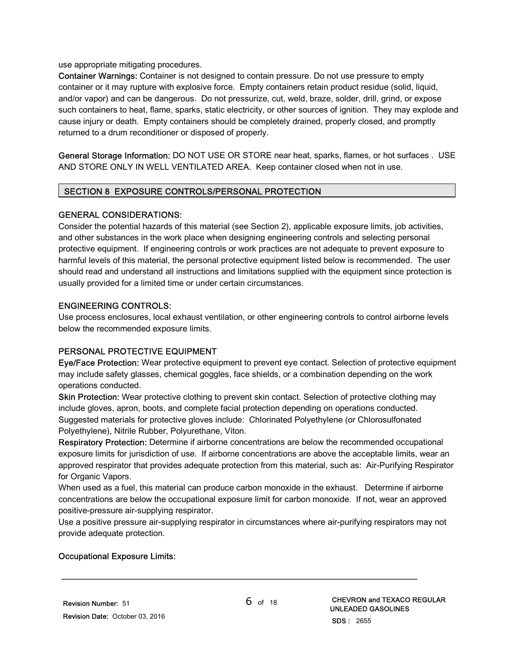use appropriate mitigating procedures.

Container Warnings: Container is not designed to contain pressure. Do not use pressure to empty container or it may rupture with explosive force. Empty containers retain product residue (solid, liquid, and/or vapor) and can be dangerous. Do not pressurize, cut, weld, braze, solder, drill, grind, or expose such containers to heat, flame, sparks, static electricity, or other sources of ignition. They may explode and cause injury or death. Empty containers should be completely drained, properly closed, and promptly returned to a drum reconditioner or disposed of properly.

General Storage Information: DO NOT USE OR STORE near heat, sparks, flames, or hot surfaces . USE AND STORE ONLY IN WELL VENTILATED AREA. Keep container closed when not in use.

#### SECTION 8 EXPOSURE CONTROLS/PERSONAL PROTECTION

#### GENERAL CONSIDERATIONS:

Consider the potential hazards of this material (see Section 2), applicable exposure limits, job activities, and other substances in the work place when designing engineering controls and selecting personal protective equipment. If engineering controls or work practices are not adequate to prevent exposure to harmful levels of this material, the personal protective equipment listed below is recommended. The user should read and understand all instructions and limitations supplied with the equipment since protection is usually provided for a limited time or under certain circumstances.

#### ENGINEERING CONTROLS:

Use process enclosures, local exhaust ventilation, or other engineering controls to control airborne levels below the recommended exposure limits.

#### PERSONAL PROTECTIVE EQUIPMENT

Eye/Face Protection: Wear protective equipment to prevent eye contact. Selection of protective equipment may include safety glasses, chemical goggles, face shields, or a combination depending on the work operations conducted.

Skin Protection: Wear protective clothing to prevent skin contact. Selection of protective clothing may include gloves, apron, boots, and complete facial protection depending on operations conducted. Suggested materials for protective gloves include: Chlorinated Polyethylene (or Chlorosulfonated Polyethylene), Nitrile Rubber, Polyurethane, Viton.

Respiratory Protection: Determine if airborne concentrations are below the recommended occupational exposure limits for jurisdiction of use. If airborne concentrations are above the acceptable limits, wear an approved respirator that provides adequate protection from this material, such as: Air-Purifying Respirator for Organic Vapors.

When used as a fuel, this material can produce carbon monoxide in the exhaust. Determine if airborne concentrations are below the occupational exposure limit for carbon monoxide. If not, wear an approved positive-pressure air-supplying respirator.

Use a positive pressure air-supplying respirator in circumstances where air-purifying respirators may not provide adequate protection.

\_\_\_\_\_\_\_\_\_\_\_\_\_\_\_\_\_\_\_\_\_\_\_\_\_\_\_\_\_\_\_\_\_\_\_\_\_\_\_\_\_\_\_\_\_\_\_\_\_\_\_\_\_\_\_\_\_\_\_\_\_\_\_\_\_\_\_\_\_

#### Occupational Exposure Limits: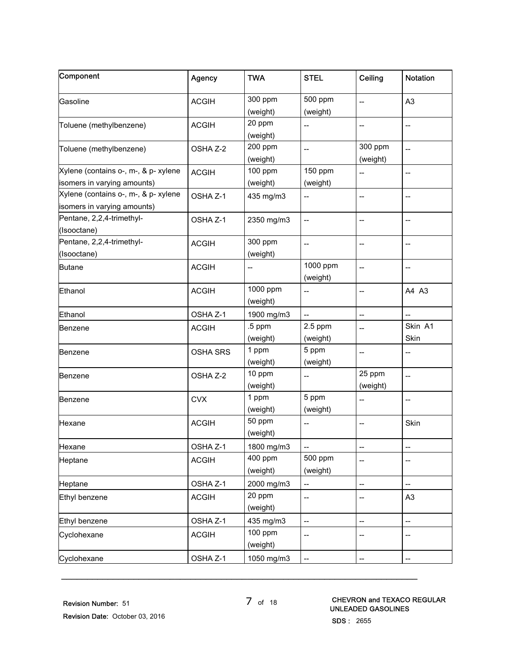| 300 ppm<br>500 ppm<br>A <sub>3</sub><br><b>ACGIH</b><br>$\overline{a}$<br>(weight)<br>(weight)<br>20 ppm<br><b>ACGIH</b><br>Toluene (methylbenzene)<br>--<br>$-$<br>--<br>(weight)<br>200 ppm<br>300 ppm<br>Toluene (methylbenzene)<br>OSHA Z-2<br>$\overline{a}$<br>$\overline{a}$<br>(weight)<br>(weight)<br>Xylene (contains o-, m-, & p- xylene<br>100 ppm<br>150 ppm<br><b>ACGIH</b><br>$\overline{a}$<br>--<br>(weight)<br>(weight)<br>Xylene (contains o-, m-, & p- xylene<br>OSHA Z-1<br>435 mg/m3<br>$-$<br>--<br>isomers in varying amounts)<br>Pentane, 2,2,4-trimethyl-<br>OSHA Z-1<br>2350 mg/m3<br>$\overline{\phantom{a}}$<br>--<br>--<br>(Isooctane)<br>Pentane, 2,2,4-trimethyl-<br>300 ppm<br><b>ACGIH</b><br>$\overline{\phantom{a}}$<br>$\overline{\phantom{a}}$<br>--<br>(weight)<br>1000 ppm<br><b>ACGIH</b><br>$\overline{a}$<br>--<br>--<br>(weight)<br>1000 ppm<br><b>ACGIH</b><br>A4 A3<br>--<br>--<br>(weight)<br>OSHA Z-1<br>1900 mg/m3<br>$\overline{\phantom{a}}$<br>--<br>$-$<br>Skin A1<br>.5 ppm<br>$2.5$ ppm<br><b>ACGIH</b><br>$-$<br>Skin<br>(weight)<br>(weight)<br>1 ppm<br>5 ppm<br><b>OSHA SRS</b><br>$\overline{a}$<br>--<br>(weight)<br>(weight)<br>10 ppm<br>25 ppm<br>OSHA Z-2<br>Benzene<br>--<br>$\qquad \qquad -$<br>(weight)<br>(weight)<br>1 ppm<br>5 ppm<br><b>CVX</b><br>$-$<br>--<br>(weight)<br>(weight)<br>50 ppm<br><b>ACGIH</b><br>Skin<br>$\overline{\phantom{a}}$<br>--<br>(weight)<br>1800 mg/m3<br>OSHA Z-1<br>$\overline{\phantom{a}}$<br>500 ppm<br>400 ppm<br><b>ACGIH</b><br>Heptane<br>$\overline{a}$<br>--<br>(weight)<br>(weight)<br>2000 mg/m3<br>OSHA Z-1<br>$\overline{\phantom{a}}$<br>--<br>$\overline{\phantom{a}}$<br>20 ppm<br><b>ACGIH</b><br>Ethyl benzene<br>A <sub>3</sub><br>--<br>$\hspace{0.05cm}$ – $\hspace{0.05cm}$<br>(weight)<br>OSHA Z-1<br>435 mg/m3<br>Ethyl benzene<br>--<br>--<br>--<br>100 ppm<br><b>ACGIH</b><br>Cyclohexane<br>--<br>--<br>--<br>(weight)<br>1050 mg/m3<br>OSHA Z-1 | Component                   | Agency | <b>TWA</b> | <b>STEL</b> | Ceiling | Notation |
|------------------------------------------------------------------------------------------------------------------------------------------------------------------------------------------------------------------------------------------------------------------------------------------------------------------------------------------------------------------------------------------------------------------------------------------------------------------------------------------------------------------------------------------------------------------------------------------------------------------------------------------------------------------------------------------------------------------------------------------------------------------------------------------------------------------------------------------------------------------------------------------------------------------------------------------------------------------------------------------------------------------------------------------------------------------------------------------------------------------------------------------------------------------------------------------------------------------------------------------------------------------------------------------------------------------------------------------------------------------------------------------------------------------------------------------------------------------------------------------------------------------------------------------------------------------------------------------------------------------------------------------------------------------------------------------------------------------------------------------------------------------------------------------------------------------------------------------------------------------------------------------------------------------------------------------------------------------------------------|-----------------------------|--------|------------|-------------|---------|----------|
|                                                                                                                                                                                                                                                                                                                                                                                                                                                                                                                                                                                                                                                                                                                                                                                                                                                                                                                                                                                                                                                                                                                                                                                                                                                                                                                                                                                                                                                                                                                                                                                                                                                                                                                                                                                                                                                                                                                                                                                    | Gasoline                    |        |            |             |         |          |
|                                                                                                                                                                                                                                                                                                                                                                                                                                                                                                                                                                                                                                                                                                                                                                                                                                                                                                                                                                                                                                                                                                                                                                                                                                                                                                                                                                                                                                                                                                                                                                                                                                                                                                                                                                                                                                                                                                                                                                                    |                             |        |            |             |         |          |
|                                                                                                                                                                                                                                                                                                                                                                                                                                                                                                                                                                                                                                                                                                                                                                                                                                                                                                                                                                                                                                                                                                                                                                                                                                                                                                                                                                                                                                                                                                                                                                                                                                                                                                                                                                                                                                                                                                                                                                                    |                             |        |            |             |         |          |
|                                                                                                                                                                                                                                                                                                                                                                                                                                                                                                                                                                                                                                                                                                                                                                                                                                                                                                                                                                                                                                                                                                                                                                                                                                                                                                                                                                                                                                                                                                                                                                                                                                                                                                                                                                                                                                                                                                                                                                                    |                             |        |            |             |         |          |
|                                                                                                                                                                                                                                                                                                                                                                                                                                                                                                                                                                                                                                                                                                                                                                                                                                                                                                                                                                                                                                                                                                                                                                                                                                                                                                                                                                                                                                                                                                                                                                                                                                                                                                                                                                                                                                                                                                                                                                                    |                             |        |            |             |         |          |
|                                                                                                                                                                                                                                                                                                                                                                                                                                                                                                                                                                                                                                                                                                                                                                                                                                                                                                                                                                                                                                                                                                                                                                                                                                                                                                                                                                                                                                                                                                                                                                                                                                                                                                                                                                                                                                                                                                                                                                                    |                             |        |            |             |         |          |
|                                                                                                                                                                                                                                                                                                                                                                                                                                                                                                                                                                                                                                                                                                                                                                                                                                                                                                                                                                                                                                                                                                                                                                                                                                                                                                                                                                                                                                                                                                                                                                                                                                                                                                                                                                                                                                                                                                                                                                                    |                             |        |            |             |         |          |
|                                                                                                                                                                                                                                                                                                                                                                                                                                                                                                                                                                                                                                                                                                                                                                                                                                                                                                                                                                                                                                                                                                                                                                                                                                                                                                                                                                                                                                                                                                                                                                                                                                                                                                                                                                                                                                                                                                                                                                                    | isomers in varying amounts) |        |            |             |         |          |
|                                                                                                                                                                                                                                                                                                                                                                                                                                                                                                                                                                                                                                                                                                                                                                                                                                                                                                                                                                                                                                                                                                                                                                                                                                                                                                                                                                                                                                                                                                                                                                                                                                                                                                                                                                                                                                                                                                                                                                                    |                             |        |            |             |         |          |
|                                                                                                                                                                                                                                                                                                                                                                                                                                                                                                                                                                                                                                                                                                                                                                                                                                                                                                                                                                                                                                                                                                                                                                                                                                                                                                                                                                                                                                                                                                                                                                                                                                                                                                                                                                                                                                                                                                                                                                                    |                             |        |            |             |         |          |
|                                                                                                                                                                                                                                                                                                                                                                                                                                                                                                                                                                                                                                                                                                                                                                                                                                                                                                                                                                                                                                                                                                                                                                                                                                                                                                                                                                                                                                                                                                                                                                                                                                                                                                                                                                                                                                                                                                                                                                                    |                             |        |            |             |         |          |
|                                                                                                                                                                                                                                                                                                                                                                                                                                                                                                                                                                                                                                                                                                                                                                                                                                                                                                                                                                                                                                                                                                                                                                                                                                                                                                                                                                                                                                                                                                                                                                                                                                                                                                                                                                                                                                                                                                                                                                                    |                             |        |            |             |         |          |
|                                                                                                                                                                                                                                                                                                                                                                                                                                                                                                                                                                                                                                                                                                                                                                                                                                                                                                                                                                                                                                                                                                                                                                                                                                                                                                                                                                                                                                                                                                                                                                                                                                                                                                                                                                                                                                                                                                                                                                                    |                             |        |            |             |         |          |
|                                                                                                                                                                                                                                                                                                                                                                                                                                                                                                                                                                                                                                                                                                                                                                                                                                                                                                                                                                                                                                                                                                                                                                                                                                                                                                                                                                                                                                                                                                                                                                                                                                                                                                                                                                                                                                                                                                                                                                                    | (Isooctane)                 |        |            |             |         |          |
|                                                                                                                                                                                                                                                                                                                                                                                                                                                                                                                                                                                                                                                                                                                                                                                                                                                                                                                                                                                                                                                                                                                                                                                                                                                                                                                                                                                                                                                                                                                                                                                                                                                                                                                                                                                                                                                                                                                                                                                    | <b>Butane</b>               |        |            |             |         |          |
|                                                                                                                                                                                                                                                                                                                                                                                                                                                                                                                                                                                                                                                                                                                                                                                                                                                                                                                                                                                                                                                                                                                                                                                                                                                                                                                                                                                                                                                                                                                                                                                                                                                                                                                                                                                                                                                                                                                                                                                    |                             |        |            |             |         |          |
|                                                                                                                                                                                                                                                                                                                                                                                                                                                                                                                                                                                                                                                                                                                                                                                                                                                                                                                                                                                                                                                                                                                                                                                                                                                                                                                                                                                                                                                                                                                                                                                                                                                                                                                                                                                                                                                                                                                                                                                    | Ethanol                     |        |            |             |         |          |
|                                                                                                                                                                                                                                                                                                                                                                                                                                                                                                                                                                                                                                                                                                                                                                                                                                                                                                                                                                                                                                                                                                                                                                                                                                                                                                                                                                                                                                                                                                                                                                                                                                                                                                                                                                                                                                                                                                                                                                                    | Ethanol                     |        |            |             |         |          |
|                                                                                                                                                                                                                                                                                                                                                                                                                                                                                                                                                                                                                                                                                                                                                                                                                                                                                                                                                                                                                                                                                                                                                                                                                                                                                                                                                                                                                                                                                                                                                                                                                                                                                                                                                                                                                                                                                                                                                                                    | Benzene                     |        |            |             |         |          |
|                                                                                                                                                                                                                                                                                                                                                                                                                                                                                                                                                                                                                                                                                                                                                                                                                                                                                                                                                                                                                                                                                                                                                                                                                                                                                                                                                                                                                                                                                                                                                                                                                                                                                                                                                                                                                                                                                                                                                                                    |                             |        |            |             |         |          |
|                                                                                                                                                                                                                                                                                                                                                                                                                                                                                                                                                                                                                                                                                                                                                                                                                                                                                                                                                                                                                                                                                                                                                                                                                                                                                                                                                                                                                                                                                                                                                                                                                                                                                                                                                                                                                                                                                                                                                                                    | Benzene                     |        |            |             |         |          |
|                                                                                                                                                                                                                                                                                                                                                                                                                                                                                                                                                                                                                                                                                                                                                                                                                                                                                                                                                                                                                                                                                                                                                                                                                                                                                                                                                                                                                                                                                                                                                                                                                                                                                                                                                                                                                                                                                                                                                                                    |                             |        |            |             |         |          |
|                                                                                                                                                                                                                                                                                                                                                                                                                                                                                                                                                                                                                                                                                                                                                                                                                                                                                                                                                                                                                                                                                                                                                                                                                                                                                                                                                                                                                                                                                                                                                                                                                                                                                                                                                                                                                                                                                                                                                                                    |                             |        |            |             |         |          |
|                                                                                                                                                                                                                                                                                                                                                                                                                                                                                                                                                                                                                                                                                                                                                                                                                                                                                                                                                                                                                                                                                                                                                                                                                                                                                                                                                                                                                                                                                                                                                                                                                                                                                                                                                                                                                                                                                                                                                                                    |                             |        |            |             |         |          |
|                                                                                                                                                                                                                                                                                                                                                                                                                                                                                                                                                                                                                                                                                                                                                                                                                                                                                                                                                                                                                                                                                                                                                                                                                                                                                                                                                                                                                                                                                                                                                                                                                                                                                                                                                                                                                                                                                                                                                                                    | Benzene                     |        |            |             |         |          |
|                                                                                                                                                                                                                                                                                                                                                                                                                                                                                                                                                                                                                                                                                                                                                                                                                                                                                                                                                                                                                                                                                                                                                                                                                                                                                                                                                                                                                                                                                                                                                                                                                                                                                                                                                                                                                                                                                                                                                                                    |                             |        |            |             |         |          |
|                                                                                                                                                                                                                                                                                                                                                                                                                                                                                                                                                                                                                                                                                                                                                                                                                                                                                                                                                                                                                                                                                                                                                                                                                                                                                                                                                                                                                                                                                                                                                                                                                                                                                                                                                                                                                                                                                                                                                                                    | Hexane                      |        |            |             |         |          |
|                                                                                                                                                                                                                                                                                                                                                                                                                                                                                                                                                                                                                                                                                                                                                                                                                                                                                                                                                                                                                                                                                                                                                                                                                                                                                                                                                                                                                                                                                                                                                                                                                                                                                                                                                                                                                                                                                                                                                                                    |                             |        |            |             |         |          |
|                                                                                                                                                                                                                                                                                                                                                                                                                                                                                                                                                                                                                                                                                                                                                                                                                                                                                                                                                                                                                                                                                                                                                                                                                                                                                                                                                                                                                                                                                                                                                                                                                                                                                                                                                                                                                                                                                                                                                                                    | Hexane                      |        |            |             |         |          |
|                                                                                                                                                                                                                                                                                                                                                                                                                                                                                                                                                                                                                                                                                                                                                                                                                                                                                                                                                                                                                                                                                                                                                                                                                                                                                                                                                                                                                                                                                                                                                                                                                                                                                                                                                                                                                                                                                                                                                                                    |                             |        |            |             |         |          |
|                                                                                                                                                                                                                                                                                                                                                                                                                                                                                                                                                                                                                                                                                                                                                                                                                                                                                                                                                                                                                                                                                                                                                                                                                                                                                                                                                                                                                                                                                                                                                                                                                                                                                                                                                                                                                                                                                                                                                                                    |                             |        |            |             |         |          |
|                                                                                                                                                                                                                                                                                                                                                                                                                                                                                                                                                                                                                                                                                                                                                                                                                                                                                                                                                                                                                                                                                                                                                                                                                                                                                                                                                                                                                                                                                                                                                                                                                                                                                                                                                                                                                                                                                                                                                                                    | Heptane                     |        |            |             |         |          |
|                                                                                                                                                                                                                                                                                                                                                                                                                                                                                                                                                                                                                                                                                                                                                                                                                                                                                                                                                                                                                                                                                                                                                                                                                                                                                                                                                                                                                                                                                                                                                                                                                                                                                                                                                                                                                                                                                                                                                                                    |                             |        |            |             |         |          |
|                                                                                                                                                                                                                                                                                                                                                                                                                                                                                                                                                                                                                                                                                                                                                                                                                                                                                                                                                                                                                                                                                                                                                                                                                                                                                                                                                                                                                                                                                                                                                                                                                                                                                                                                                                                                                                                                                                                                                                                    |                             |        |            |             |         |          |
|                                                                                                                                                                                                                                                                                                                                                                                                                                                                                                                                                                                                                                                                                                                                                                                                                                                                                                                                                                                                                                                                                                                                                                                                                                                                                                                                                                                                                                                                                                                                                                                                                                                                                                                                                                                                                                                                                                                                                                                    |                             |        |            |             |         |          |
|                                                                                                                                                                                                                                                                                                                                                                                                                                                                                                                                                                                                                                                                                                                                                                                                                                                                                                                                                                                                                                                                                                                                                                                                                                                                                                                                                                                                                                                                                                                                                                                                                                                                                                                                                                                                                                                                                                                                                                                    |                             |        |            |             |         |          |
|                                                                                                                                                                                                                                                                                                                                                                                                                                                                                                                                                                                                                                                                                                                                                                                                                                                                                                                                                                                                                                                                                                                                                                                                                                                                                                                                                                                                                                                                                                                                                                                                                                                                                                                                                                                                                                                                                                                                                                                    |                             |        |            |             |         |          |
|                                                                                                                                                                                                                                                                                                                                                                                                                                                                                                                                                                                                                                                                                                                                                                                                                                                                                                                                                                                                                                                                                                                                                                                                                                                                                                                                                                                                                                                                                                                                                                                                                                                                                                                                                                                                                                                                                                                                                                                    | Cyclohexane                 |        |            |             |         |          |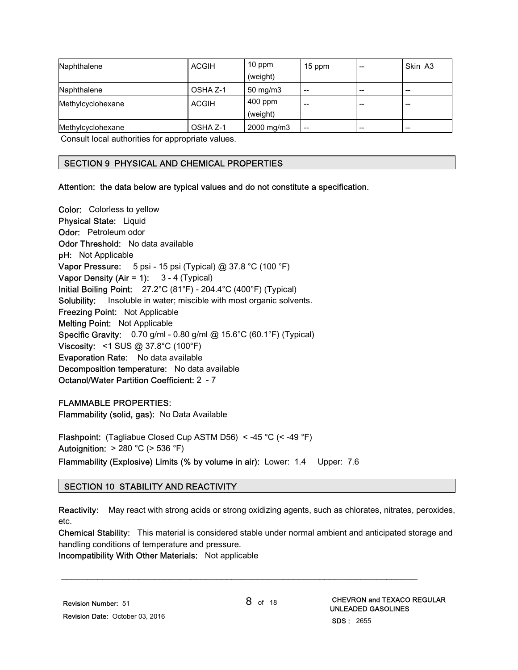| Naphthalene       | <b>ACGIH</b> | $10$ ppm<br>(weight)  | 15 ppm | $-$ | Skin A3 |
|-------------------|--------------|-----------------------|--------|-----|---------|
| Naphthalene       | OSHA Z-1     | $50 \text{ mg/m}$ 3   | --     | $-$ | --      |
| Methylcyclohexane | <b>ACGIH</b> | $400$ ppm<br>(weight) | --     | $-$ | --      |
| Methylcyclohexane | OSHA Z-1     | 2000 mg/m3            | --     | $-$ | --      |

Consult local authorities for appropriate values.

#### SECTION 9 PHYSICAL AND CHEMICAL PROPERTIES

#### Attention: the data below are typical values and do not constitute a specification.

Color: Colorless to yellow Physical State: Liquid Odor: Petroleum odor Odor Threshold: No data available pH: Not Applicable **Vapor Pressure:** 5 psi - 15 psi (Typical) @ 37.8 °C (100 °F) Vapor Density (Air = 1):  $3 - 4$  (Typical) Initial Boiling Point: 27.2°C (81°F) - 204.4°C (400°F) (Typical) Solubility: Insoluble in water; miscible with most organic solvents. Freezing Point: Not Applicable Melting Point: Not Applicable Specific Gravity: 0.70 g/ml - 0.80 g/ml @ 15.6°C (60.1°F) (Typical) Viscosity: <1 SUS @ 37.8°C (100°F) Evaporation Rate: No data available Decomposition temperature: No data available Octanol/Water Partition Coefficient: 2 - 7

#### FLAMMABLE PROPERTIES:

Flammability (solid, gas): No Data Available

Flashpoint: (Tagliabue Closed Cup ASTM D56) < -45 °C (< -49 °F) Autoignition:  $> 280$  °C ( $> 536$  °F) Flammability (Explosive) Limits (% by volume in air): Lower: 1.4 Upper: 7.6

#### SECTION 10 STABILITY AND REACTIVITY

Reactivity: May react with strong acids or strong oxidizing agents, such as chlorates, nitrates, peroxides, etc.

Chemical Stability: This material is considered stable under normal ambient and anticipated storage and handling conditions of temperature and pressure.

\_\_\_\_\_\_\_\_\_\_\_\_\_\_\_\_\_\_\_\_\_\_\_\_\_\_\_\_\_\_\_\_\_\_\_\_\_\_\_\_\_\_\_\_\_\_\_\_\_\_\_\_\_\_\_\_\_\_\_\_\_\_\_\_\_\_\_\_\_

Incompatibility With Other Materials: Not applicable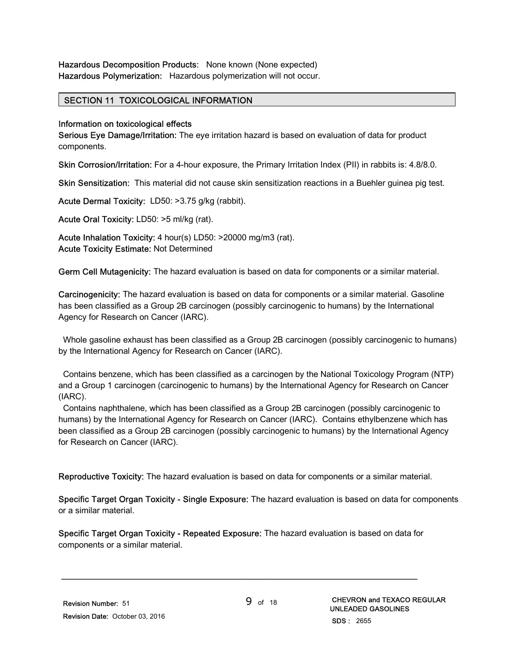#### SECTION 11 TOXICOLOGICAL INFORMATION

#### Information on toxicological effects

Serious Eye Damage/Irritation: The eye irritation hazard is based on evaluation of data for product components.

Skin Corrosion/Irritation: For a 4-hour exposure, the Primary Irritation Index (PII) in rabbits is: 4.8/8.0.

Skin Sensitization: This material did not cause skin sensitization reactions in a Buehler guinea pig test.

Acute Dermal Toxicity: LD50: >3.75 g/kg (rabbit).

Acute Oral Toxicity: LD50: >5 ml/kg (rat).

Acute Inhalation Toxicity: 4 hour(s) LD50: >20000 mg/m3 (rat). Acute Toxicity Estimate: Not Determined

Germ Cell Mutagenicity: The hazard evaluation is based on data for components or a similar material.

Carcinogenicity: The hazard evaluation is based on data for components or a similar material. Gasoline has been classified as a Group 2B carcinogen (possibly carcinogenic to humans) by the International Agency for Research on Cancer (IARC).

 Whole gasoline exhaust has been classified as a Group 2B carcinogen (possibly carcinogenic to humans) by the International Agency for Research on Cancer (IARC).

 Contains benzene, which has been classified as a carcinogen by the National Toxicology Program (NTP) and a Group 1 carcinogen (carcinogenic to humans) by the International Agency for Research on Cancer (IARC).

 Contains naphthalene, which has been classified as a Group 2B carcinogen (possibly carcinogenic to humans) by the International Agency for Research on Cancer (IARC). Contains ethylbenzene which has been classified as a Group 2B carcinogen (possibly carcinogenic to humans) by the International Agency for Research on Cancer (IARC).

Reproductive Toxicity: The hazard evaluation is based on data for components or a similar material.

Specific Target Organ Toxicity - Single Exposure: The hazard evaluation is based on data for components or a similar material.

Specific Target Organ Toxicity - Repeated Exposure: The hazard evaluation is based on data for components or a similar material.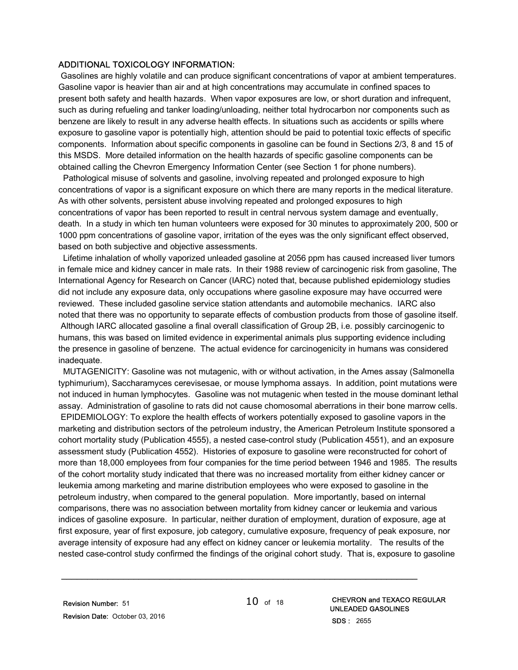#### ADDITIONAL TOXICOLOGY INFORMATION:

 Gasolines are highly volatile and can produce significant concentrations of vapor at ambient temperatures. Gasoline vapor is heavier than air and at high concentrations may accumulate in confined spaces to present both safety and health hazards. When vapor exposures are low, or short duration and infrequent, such as during refueling and tanker loading/unloading, neither total hydrocarbon nor components such as benzene are likely to result in any adverse health effects. In situations such as accidents or spills where exposure to gasoline vapor is potentially high, attention should be paid to potential toxic effects of specific components. Information about specific components in gasoline can be found in Sections 2/3, 8 and 15 of this MSDS. More detailed information on the health hazards of specific gasoline components can be obtained calling the Chevron Emergency Information Center (see Section 1 for phone numbers).

 Pathological misuse of solvents and gasoline, involving repeated and prolonged exposure to high concentrations of vapor is a significant exposure on which there are many reports in the medical literature. As with other solvents, persistent abuse involving repeated and prolonged exposures to high concentrations of vapor has been reported to result in central nervous system damage and eventually, death. In a study in which ten human volunteers were exposed for 30 minutes to approximately 200, 500 or 1000 ppm concentrations of gasoline vapor, irritation of the eyes was the only significant effect observed, based on both subjective and objective assessments.

 Lifetime inhalation of wholly vaporized unleaded gasoline at 2056 ppm has caused increased liver tumors in female mice and kidney cancer in male rats. In their 1988 review of carcinogenic risk from gasoline, The International Agency for Research on Cancer (IARC) noted that, because published epidemiology studies did not include any exposure data, only occupations where gasoline exposure may have occurred were reviewed. These included gasoline service station attendants and automobile mechanics. IARC also noted that there was no opportunity to separate effects of combustion products from those of gasoline itself. Although IARC allocated gasoline a final overall classification of Group 2B, i.e. possibly carcinogenic to humans, this was based on limited evidence in experimental animals plus supporting evidence including the presence in gasoline of benzene. The actual evidence for carcinogenicity in humans was considered inadequate.

 MUTAGENICITY: Gasoline was not mutagenic, with or without activation, in the Ames assay (Salmonella typhimurium), Saccharamyces cerevisesae, or mouse lymphoma assays. In addition, point mutations were not induced in human lymphocytes. Gasoline was not mutagenic when tested in the mouse dominant lethal assay. Administration of gasoline to rats did not cause chomosomal aberrations in their bone marrow cells. EPIDEMIOLOGY: To explore the health effects of workers potentially exposed to gasoline vapors in the marketing and distribution sectors of the petroleum industry, the American Petroleum Institute sponsored a cohort mortality study (Publication 4555), a nested case-control study (Publication 4551), and an exposure assessment study (Publication 4552). Histories of exposure to gasoline were reconstructed for cohort of more than 18,000 employees from four companies for the time period between 1946 and 1985. The results of the cohort mortality study indicated that there was no increased mortality from either kidney cancer or leukemia among marketing and marine distribution employees who were exposed to gasoline in the petroleum industry, when compared to the general population. More importantly, based on internal comparisons, there was no association between mortality from kidney cancer or leukemia and various indices of gasoline exposure. In particular, neither duration of employment, duration of exposure, age at first exposure, year of first exposure, job category, cumulative exposure, frequency of peak exposure, nor average intensity of exposure had any effect on kidney cancer or leukemia mortality. The results of the nested case-control study confirmed the findings of the original cohort study. That is, exposure to gasoline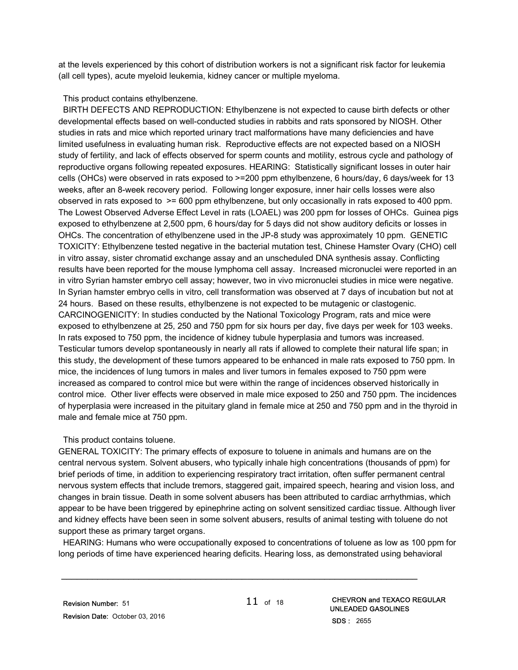at the levels experienced by this cohort of distribution workers is not a significant risk factor for leukemia (all cell types), acute myeloid leukemia, kidney cancer or multiple myeloma.

#### This product contains ethylbenzene.

 BIRTH DEFECTS AND REPRODUCTION: Ethylbenzene is not expected to cause birth defects or other developmental effects based on well-conducted studies in rabbits and rats sponsored by NIOSH. Other studies in rats and mice which reported urinary tract malformations have many deficiencies and have limited usefulness in evaluating human risk. Reproductive effects are not expected based on a NIOSH study of fertility, and lack of effects observed for sperm counts and motility, estrous cycle and pathology of reproductive organs following repeated exposures. HEARING: Statistically significant losses in outer hair cells (OHCs) were observed in rats exposed to >=200 ppm ethylbenzene, 6 hours/day, 6 days/week for 13 weeks, after an 8-week recovery period. Following longer exposure, inner hair cells losses were also observed in rats exposed to >= 600 ppm ethylbenzene, but only occasionally in rats exposed to 400 ppm. The Lowest Observed Adverse Effect Level in rats (LOAEL) was 200 ppm for losses of OHCs. Guinea pigs exposed to ethylbenzene at 2,500 ppm, 6 hours/day for 5 days did not show auditory deficits or losses in OHCs. The concentration of ethylbenzene used in the JP-8 study was approximately 10 ppm. GENETIC TOXICITY: Ethylbenzene tested negative in the bacterial mutation test, Chinese Hamster Ovary (CHO) cell in vitro assay, sister chromatid exchange assay and an unscheduled DNA synthesis assay. Conflicting results have been reported for the mouse lymphoma cell assay. Increased micronuclei were reported in an in vitro Syrian hamster embryo cell assay; however, two in vivo micronuclei studies in mice were negative. In Syrian hamster embryo cells in vitro, cell transformation was observed at 7 days of incubation but not at 24 hours. Based on these results, ethylbenzene is not expected to be mutagenic or clastogenic. CARCINOGENICITY: In studies conducted by the National Toxicology Program, rats and mice were exposed to ethylbenzene at 25, 250 and 750 ppm for six hours per day, five days per week for 103 weeks. In rats exposed to 750 ppm, the incidence of kidney tubule hyperplasia and tumors was increased. Testicular tumors develop spontaneously in nearly all rats if allowed to complete their natural life span; in this study, the development of these tumors appeared to be enhanced in male rats exposed to 750 ppm. In mice, the incidences of lung tumors in males and liver tumors in females exposed to 750 ppm were increased as compared to control mice but were within the range of incidences observed historically in control mice. Other liver effects were observed in male mice exposed to 250 and 750 ppm. The incidences of hyperplasia were increased in the pituitary gland in female mice at 250 and 750 ppm and in the thyroid in male and female mice at 750 ppm.

#### This product contains toluene.

GENERAL TOXICITY: The primary effects of exposure to toluene in animals and humans are on the central nervous system. Solvent abusers, who typically inhale high concentrations (thousands of ppm) for brief periods of time, in addition to experiencing respiratory tract irritation, often suffer permanent central nervous system effects that include tremors, staggered gait, impaired speech, hearing and vision loss, and changes in brain tissue. Death in some solvent abusers has been attributed to cardiac arrhythmias, which appear to be have been triggered by epinephrine acting on solvent sensitized cardiac tissue. Although liver and kidney effects have been seen in some solvent abusers, results of animal testing with toluene do not support these as primary target organs.

 HEARING: Humans who were occupationally exposed to concentrations of toluene as low as 100 ppm for long periods of time have experienced hearing deficits. Hearing loss, as demonstrated using behavioral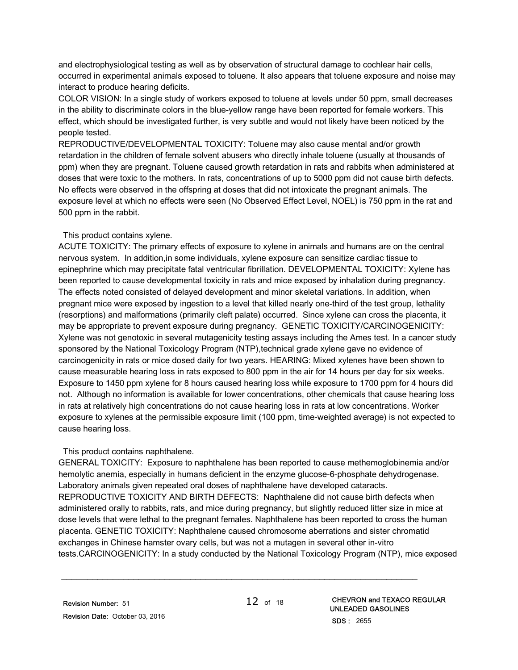and electrophysiological testing as well as by observation of structural damage to cochlear hair cells, occurred in experimental animals exposed to toluene. It also appears that toluene exposure and noise may interact to produce hearing deficits.

COLOR VISION: In a single study of workers exposed to toluene at levels under 50 ppm, small decreases in the ability to discriminate colors in the blue-yellow range have been reported for female workers. This effect, which should be investigated further, is very subtle and would not likely have been noticed by the people tested.

REPRODUCTIVE/DEVELOPMENTAL TOXICITY: Toluene may also cause mental and/or growth retardation in the children of female solvent abusers who directly inhale toluene (usually at thousands of ppm) when they are pregnant. Toluene caused growth retardation in rats and rabbits when administered at doses that were toxic to the mothers. In rats, concentrations of up to 5000 ppm did not cause birth defects. No effects were observed in the offspring at doses that did not intoxicate the pregnant animals. The exposure level at which no effects were seen (No Observed Effect Level, NOEL) is 750 ppm in the rat and 500 ppm in the rabbit.

#### This product contains xylene.

ACUTE TOXICITY: The primary effects of exposure to xylene in animals and humans are on the central nervous system. In addition,in some individuals, xylene exposure can sensitize cardiac tissue to epinephrine which may precipitate fatal ventricular fibrillation. DEVELOPMENTAL TOXICITY: Xylene has been reported to cause developmental toxicity in rats and mice exposed by inhalation during pregnancy. The effects noted consisted of delayed development and minor skeletal variations. In addition, when pregnant mice were exposed by ingestion to a level that killed nearly one-third of the test group, lethality (resorptions) and malformations (primarily cleft palate) occurred. Since xylene can cross the placenta, it may be appropriate to prevent exposure during pregnancy. GENETIC TOXICITY/CARCINOGENICITY: Xylene was not genotoxic in several mutagenicity testing assays including the Ames test. In a cancer study sponsored by the National Toxicology Program (NTP), technical grade xylene gave no evidence of carcinogenicity in rats or mice dosed daily for two years. HEARING: Mixed xylenes have been shown to cause measurable hearing loss in rats exposed to 800 ppm in the air for 14 hours per day for six weeks. Exposure to 1450 ppm xylene for 8 hours caused hearing loss while exposure to 1700 ppm for 4 hours did not. Although no information is available for lower concentrations, other chemicals that cause hearing loss in rats at relatively high concentrations do not cause hearing loss in rats at low concentrations. Worker exposure to xylenes at the permissible exposure limit (100 ppm, time-weighted average) is not expected to cause hearing loss.

#### This product contains naphthalene.

GENERAL TOXICITY: Exposure to naphthalene has been reported to cause methemoglobinemia and/or hemolytic anemia, especially in humans deficient in the enzyme glucose-6-phosphate dehydrogenase. Laboratory animals given repeated oral doses of naphthalene have developed cataracts. REPRODUCTIVE TOXICITY AND BIRTH DEFECTS: Naphthalene did not cause birth defects when administered orally to rabbits, rats, and mice during pregnancy, but slightly reduced litter size in mice at dose levels that were lethal to the pregnant females. Naphthalene has been reported to cross the human placenta. GENETIC TOXICITY: Naphthalene caused chromosome aberrations and sister chromatid exchanges in Chinese hamster ovary cells, but was not a mutagen in several other in-vitro tests.CARCINOGENICITY: In a study conducted by the National Toxicology Program (NTP), mice exposed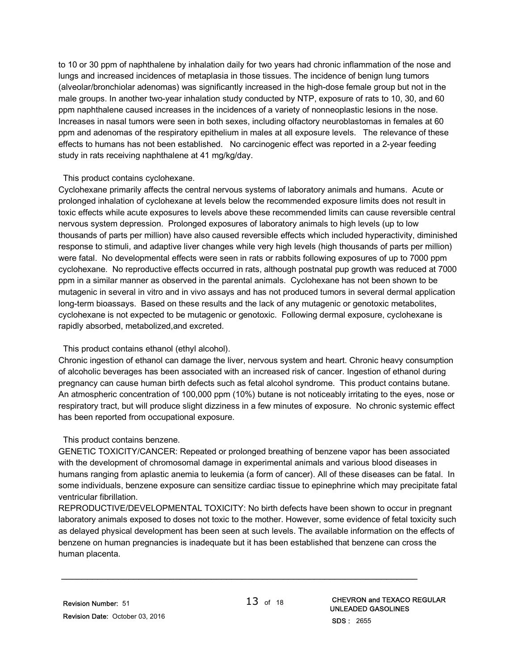to 10 or 30 ppm of naphthalene by inhalation daily for two years had chronic inflammation of the nose and lungs and increased incidences of metaplasia in those tissues. The incidence of benign lung tumors (alveolar/bronchiolar adenomas) was significantly increased in the high-dose female group but not in the male groups. In another two-year inhalation study conducted by NTP, exposure of rats to 10, 30, and 60 ppm naphthalene caused increases in the incidences of a variety of nonneoplastic lesions in the nose. Increases in nasal tumors were seen in both sexes, including olfactory neuroblastomas in females at 60 ppm and adenomas of the respiratory epithelium in males at all exposure levels. The relevance of these effects to humans has not been established. No carcinogenic effect was reported in a 2-year feeding study in rats receiving naphthalene at 41 mg/kg/day.

#### This product contains cyclohexane.

Cyclohexane primarily affects the central nervous systems of laboratory animals and humans. Acute or prolonged inhalation of cyclohexane at levels below the recommended exposure limits does not result in toxic effects while acute exposures to levels above these recommended limits can cause reversible central nervous system depression. Prolonged exposures of laboratory animals to high levels (up to low thousands of parts per million) have also caused reversible effects which included hyperactivity, diminished response to stimuli, and adaptive liver changes while very high levels (high thousands of parts per million) were fatal. No developmental effects were seen in rats or rabbits following exposures of up to 7000 ppm cyclohexane. No reproductive effects occurred in rats, although postnatal pup growth was reduced at 7000 ppm in a similar manner as observed in the parental animals. Cyclohexane has not been shown to be mutagenic in several in vitro and in vivo assays and has not produced tumors in several dermal application long-term bioassays. Based on these results and the lack of any mutagenic or genotoxic metabolites, cyclohexane is not expected to be mutagenic or genotoxic. Following dermal exposure, cyclohexane is rapidly absorbed, metabolized,and excreted.

#### This product contains ethanol (ethyl alcohol).

Chronic ingestion of ethanol can damage the liver, nervous system and heart. Chronic heavy consumption of alcoholic beverages has been associated with an increased risk of cancer. Ingestion of ethanol during pregnancy can cause human birth defects such as fetal alcohol syndrome. This product contains butane. An atmospheric concentration of 100,000 ppm (10%) butane is not noticeably irritating to the eyes, nose or respiratory tract, but will produce slight dizziness in a few minutes of exposure. No chronic systemic effect has been reported from occupational exposure.

#### This product contains benzene.

GENETIC TOXICITY/CANCER: Repeated or prolonged breathing of benzene vapor has been associated with the development of chromosomal damage in experimental animals and various blood diseases in humans ranging from aplastic anemia to leukemia (a form of cancer). All of these diseases can be fatal. In some individuals, benzene exposure can sensitize cardiac tissue to epinephrine which may precipitate fatal ventricular fibrillation.

REPRODUCTIVE/DEVELOPMENTAL TOXICITY: No birth defects have been shown to occur in pregnant laboratory animals exposed to doses not toxic to the mother. However, some evidence of fetal toxicity such as delayed physical development has been seen at such levels. The available information on the effects of benzene on human pregnancies is inadequate but it has been established that benzene can cross the human placenta.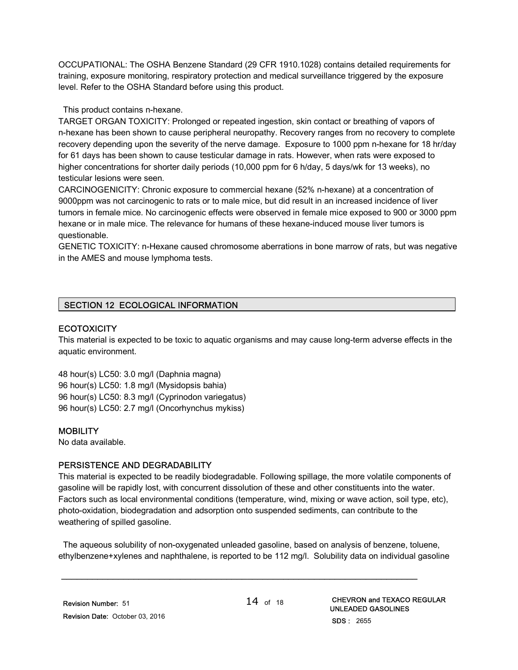OCCUPATIONAL: The OSHA Benzene Standard (29 CFR 1910.1028) contains detailed requirements for training, exposure monitoring, respiratory protection and medical surveillance triggered by the exposure level. Refer to the OSHA Standard before using this product.

#### This product contains n-hexane.

TARGET ORGAN TOXICITY: Prolonged or repeated ingestion, skin contact or breathing of vapors of n-hexane has been shown to cause peripheral neuropathy. Recovery ranges from no recovery to complete recovery depending upon the severity of the nerve damage. Exposure to 1000 ppm n-hexane for 18 hr/day for 61 days has been shown to cause testicular damage in rats. However, when rats were exposed to higher concentrations for shorter daily periods (10,000 ppm for 6 h/day, 5 days/wk for 13 weeks), no testicular lesions were seen.

CARCINOGENICITY: Chronic exposure to commercial hexane (52% n-hexane) at a concentration of 9000ppm was not carcinogenic to rats or to male mice, but did result in an increased incidence of liver tumors in female mice. No carcinogenic effects were observed in female mice exposed to 900 or 3000 ppm hexane or in male mice. The relevance for humans of these hexane-induced mouse liver tumors is questionable.

GENETIC TOXICITY: n-Hexane caused chromosome aberrations in bone marrow of rats, but was negative in the AMES and mouse lymphoma tests.

#### SECTION 12 ECOLOGICAL INFORMATION

#### **ECOTOXICITY**

This material is expected to be toxic to aquatic organisms and may cause long-term adverse effects in the aquatic environment.

48 hour(s) LC50: 3.0 mg/l (Daphnia magna) 96 hour(s) LC50: 1.8 mg/l (Mysidopsis bahia) 96 hour(s) LC50: 8.3 mg/l (Cyprinodon variegatus) 96 hour(s) LC50: 2.7 mg/l (Oncorhynchus mykiss)

#### **MOBILITY**

No data available.

#### PERSISTENCE AND DEGRADABILITY

This material is expected to be readily biodegradable. Following spillage, the more volatile components of gasoline will be rapidly lost, with concurrent dissolution of these and other constituents into the water. Factors such as local environmental conditions (temperature, wind, mixing or wave action, soil type, etc), photo-oxidation, biodegradation and adsorption onto suspended sediments, can contribute to the weathering of spilled gasoline.

 The aqueous solubility of non-oxygenated unleaded gasoline, based on analysis of benzene, toluene, ethylbenzene+xylenes and naphthalene, is reported to be 112 mg/l. Solubility data on individual gasoline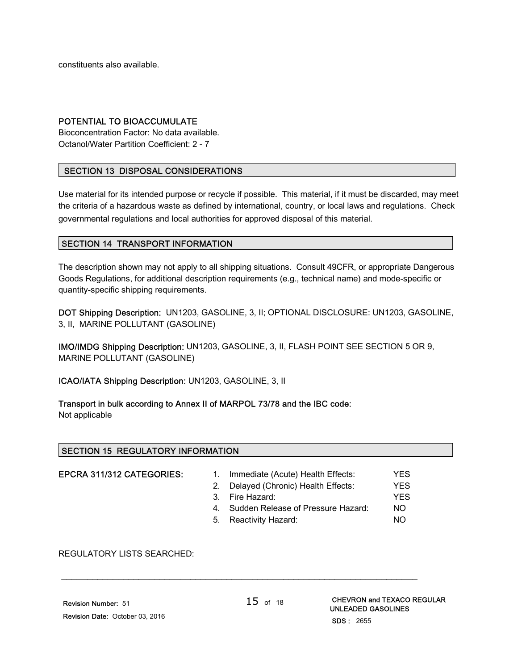constituents also available.

#### POTENTIAL TO BIOACCUMULATE

Bioconcentration Factor: No data available. Octanol/Water Partition Coefficient: 2 - 7

#### SECTION 13 DISPOSAL CONSIDERATIONS

Use material for its intended purpose or recycle if possible. This material, if it must be discarded, may meet the criteria of a hazardous waste as defined by international, country, or local laws and regulations. Check governmental regulations and local authorities for approved disposal of this material.

#### SECTION 14 TRANSPORT INFORMATION

The description shown may not apply to all shipping situations. Consult 49CFR, or appropriate Dangerous Goods Regulations, for additional description requirements (e.g., technical name) and mode-specific or quantity-specific shipping requirements.

DOT Shipping Description: UN1203, GASOLINE, 3, II; OPTIONAL DISCLOSURE: UN1203, GASOLINE, 3, II, MARINE POLLUTANT (GASOLINE)

IMO/IMDG Shipping Description: UN1203, GASOLINE, 3, II, FLASH POINT SEE SECTION 5 OR 9, MARINE POLLUTANT (GASOLINE)

ICAO/IATA Shipping Description: UN1203, GASOLINE, 3, II

Transport in bulk according to Annex II of MARPOL 73/78 and the IBC code: Not applicable

#### SECTION 15 REGULATORY INFORMATION

EPCRA 311/312 CATEGORIES: 1. Immediate (Acute) Health Effects: YES 2. Delayed (Chronic) Health Effects: YES 3. Fire Hazard: YES 4. Sudden Release of Pressure Hazard: NO 5. Reactivity Hazard: NO

REGULATORY LISTS SEARCHED: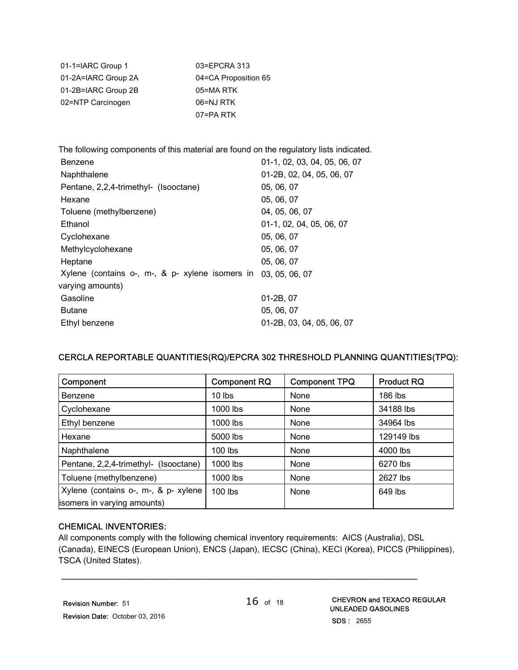| 01-1=IARC Group 1   | 03=EPCRA 313         |
|---------------------|----------------------|
| 01-2A=IARC Group 2A | 04=CA Proposition 65 |
| 01-2B=IARC Group 2B | 05=MA RTK            |
| 02=NTP Carcinogen   | 06=NJ RTK            |
|                     | 07=PA RTK            |

The following components of this material are found on the regulatory lists indicated. Benzene 01-1, 02, 03, 04, 05, 06, 07 Naphthalene 01-2B, 02, 04, 05, 06, 07 Pentane, 2,2,4-trimethyl- (Isooctane) 05, 06, 07 Hexane 05, 06, 07 Toluene (methylbenzene) 04, 05, 06, 07 Ethanol 01-1, 02, 04, 05, 06, 07 Cyclohexane 05, 06, 07 Methylcyclohexane 05, 06, 07 Heptane 05, 06, 07 Xylene (contains o-, m-, & p- xylene isomers in 03, 05, 06, 07 varying amounts) Gasoline 01-2B, 07 Butane 05, 06, 07 Ethyl benzene 01-2B, 03, 04, 05, 06, 07

#### CERCLA REPORTABLE QUANTITIES(RQ)/EPCRA 302 THRESHOLD PLANNING QUANTITIES(TPQ):

| Component                             | <b>Component RQ</b> | <b>Component TPQ</b> | <b>Product RQ</b> |
|---------------------------------------|---------------------|----------------------|-------------------|
| Benzene                               | $10$ lbs            | None                 | 186 lbs           |
| Cyclohexane                           | 1000 lbs            | None                 | 34188 lbs         |
| Ethyl benzene                         | 1000 lbs            | None                 | 34964 lbs         |
| Hexane                                | 5000 lbs            | None                 | 129149 lbs        |
| Naphthalene                           | $100$ lbs           | None                 | 4000 lbs          |
| Pentane, 2,2,4-trimethyl- (Isooctane) | 1000 lbs            | None                 | 6270 lbs          |
| Toluene (methylbenzene)               | 1000 lbs            | None                 | 2627 lbs          |
| Xylene (contains o-, m-, & p- xylene  | 100 lbs             | None                 | 649 lbs           |
| isomers in varying amounts)           |                     |                      |                   |

#### CHEMICAL INVENTORIES:

All components comply with the following chemical inventory requirements: AICS (Australia), DSL (Canada), EINECS (European Union), ENCS (Japan), IECSC (China), KECI (Korea), PICCS (Philippines), TSCA (United States).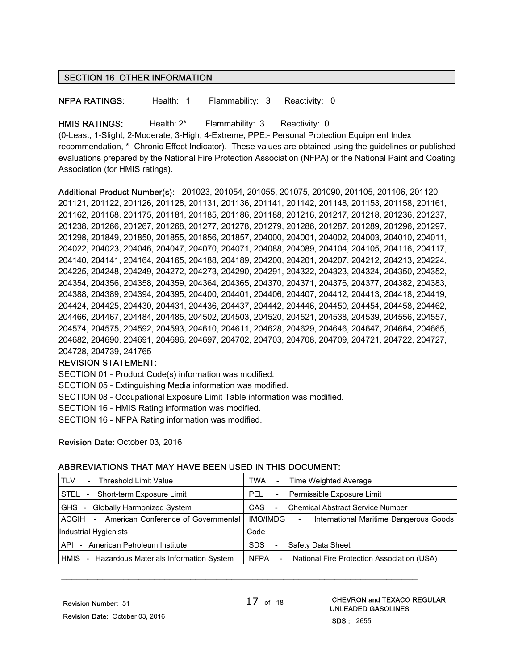#### SECTION 16 OTHER INFORMATION

NFPA RATINGS: Health: 1 Flammability: 3 Reactivity: 0

HMIS RATINGS: Health: 2\* Flammability: 3 Reactivity: 0

(0-Least, 1-Slight, 2-Moderate, 3-High, 4-Extreme, PPE:- Personal Protection Equipment Index recommendation, \*- Chronic Effect Indicator). These values are obtained using the guidelines or published evaluations prepared by the National Fire Protection Association (NFPA) or the National Paint and Coating Association (for HMIS ratings).

Additional Product Number(s): 201023, 201054, 201055, 201075, 201090, 201105, 201106, 201120, 201121, 201122, 201126, 201128, 201131, 201136, 201141, 201142, 201148, 201153, 201158, 201161, 201162, 201168, 201175, 201181, 201185, 201186, 201188, 201216, 201217, 201218, 201236, 201237, 201238, 201266, 201267, 201268, 201277, 201278, 201279, 201286, 201287, 201289, 201296, 201297, 201298, 201849, 201850, 201855, 201856, 201857, 204000, 204001, 204002, 204003, 204010, 204011, 204022, 204023, 204046, 204047, 204070, 204071, 204088, 204089, 204104, 204105, 204116, 204117, 204140, 204141, 204164, 204165, 204188, 204189, 204200, 204201, 204207, 204212, 204213, 204224, 204225, 204248, 204249, 204272, 204273, 204290, 204291, 204322, 204323, 204324, 204350, 204352, 204354, 204356, 204358, 204359, 204364, 204365, 204370, 204371, 204376, 204377, 204382, 204383, 204388, 204389, 204394, 204395, 204400, 204401, 204406, 204407, 204412, 204413, 204418, 204419, 204424, 204425, 204430, 204431, 204436, 204437, 204442, 204446, 204450, 204454, 204458, 204462, 204466, 204467, 204484, 204485, 204502, 204503, 204520, 204521, 204538, 204539, 204556, 204557, 204574, 204575, 204592, 204593, 204610, 204611, 204628, 204629, 204646, 204647, 204664, 204665, 204682, 204690, 204691, 204696, 204697, 204702, 204703, 204708, 204709, 204721, 204722, 204727, 204728, 204739, 241765

#### REVISION STATEMENT:

SECTION 01 - Product Code(s) information was modified.

SECTION 05 - Extinguishing Media information was modified.

SECTION 08 - Occupational Exposure Limit Table information was modified.

SECTION 16 - HMIS Rating information was modified.

SECTION 16 - NFPA Rating information was modified.

Revision Date: October 03, 2016

#### ABBREVIATIONS THAT MAY HAVE BEEN USED IN THIS DOCUMENT:

| . TLV<br>- Threshold Limit Value              | Time Weighted Average<br>TWA<br>$\sim$ $-$                          |
|-----------------------------------------------|---------------------------------------------------------------------|
| STEL - Short-term Exposure Limit              | PFL<br>- Permissible Exposure Limit                                 |
| GHS - Globally Harmonized System              | <b>Chemical Abstract Service Number</b><br>CAS.<br>$\sim$           |
| ACGIH - American Conference of Governmental   | <b>IMO/IMDG</b><br>International Maritime Dangerous Goods<br>$\sim$ |
| Industrial Hygienists                         | Code                                                                |
| API - American Petroleum Institute            | <b>SDS</b><br>Safety Data Sheet<br>$\sim$                           |
| HMIS - Hazardous Materials Information System | NFPA<br>National Fire Protection Association (USA)<br>$\sim 10$     |